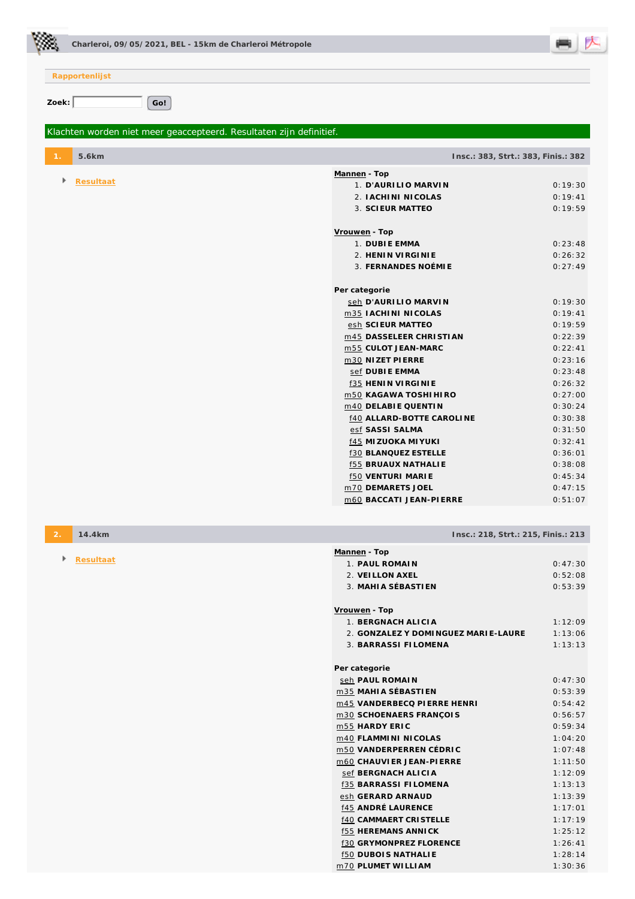

**Rapportenlijst** Zoek: Go! *Klachten worden niet meer geaccepteerd. Resultaten zijn definitief.*  **1. 5.6km Insc.: 383, Strt.: 383, Finis.: 382 Resultaat Mannen - Top**  1. **D'AURILIO MARVIN** 0:19:30 2. **IACHINI NICOLAS** 0:19:41 3. **SCIEUR MATTEO** 0:19:59 **Vrouwen - Top**  1. **DUBIE EMMA** 0:23:48 2. **HENIN VIRGINIE** 0:26:32 3. **FERNANDES NOÉMIE** 0:27:49 **Per categorie** seh D'AURILIO MARVIN 0:19:30 m35 **IACHINI NICOLAS** 0:19:41 esh **SCIEUR MATTEO** 0:19:59

**2. 14.4km Insc.: 218, Strt.: 215, Finis.: 213 Resultaat Mannen - Top**  1. **PAUL ROMAIN** 0:47:30

| 2 VEILLON AXEL                       | 0:52:08 |
|--------------------------------------|---------|
| 3. MAHIA SÉBASTIEN                   | 0:53:39 |
|                                      |         |
| Vrouwen - Top                        |         |
| 1. BERGNACH ALICIA                   | 1:12:09 |
| 2. GONZALEZ Y DOMINGUEZ MARI E-LAURE | 1:13:06 |
| 3. BARRASSI FILOMENA                 | 1:13:13 |
|                                      |         |
| Per categorie                        |         |
| seh PAUL ROMAIN                      | 0:47:30 |
| m35 MAHIA SÉBASTIEN                  | 0:53:39 |
| m45 VANDERBECQ PI ERRE HENRI         | 0:54:42 |
| m30 SCHOENAERS FRANÇOIS              | 0:56:57 |
| m55 HARDY ERIC                       | 0:59:34 |
| m40 FLAMMINI NICOLAS                 | 1:04:20 |
| m50 VANDERPERREN CÉDRIC              | 1:07:48 |
| m60 CHAUVIER JEAN-PIERRE             | 1:11:50 |
| sef BERGNACH ALICIA                  | 1:12:09 |
| <b>f35 BARRASSI FILOMENA</b>         | 1:13:13 |
| esh GERARD ARNAUD                    | 1:13:39 |
| <b>f45 ANDRÉ LAURENCE</b>            | 1:17:01 |
| <b>f40 CAMMAERT CRISTELLE</b>        | 1:17:19 |
| <b>f55 HEREMANS ANNICK</b>           | 1:25:12 |
| <b>f30 GRYMONPREZ FLORENCE</b>       | 1:26:41 |

f50 **DUBOIS NATHALIE** 1:28:14 m70 **PLUMET WILLIAM** 1:30:36

m45 **DASSELEER CHRISTIAN** 0:22:39 m55 **CULOT JEAN-MARC** 0:22:41 m30 **NIZET PIERRE** 0:23:16 sef **DUBIE EMMA** 0:23:48 f35 **HENIN VIRGINIE** 0:26:32 m50 **KAGAWA TOSHIHIRO** 0:27:00 m40 **DELABIE QUENTIN** 0:30:24 f40 **ALLARD-BOTTE CAROLINE** 0:30:38 esf **SASSI SALMA** 0:31:50 f45 **MIZUOKA MIYUKI** 0:32:41 f30 **BLANQUEZ ESTELLE** 0:36:01 f55 **BRUAUX NATHALIE** 0:38:08 f50 **VENTURI MARIE** 0:45:34 m70 **DEMARETS JOEL** 0:47:15 m60 **BACCATI JEAN-PIERRE** 0:51:07